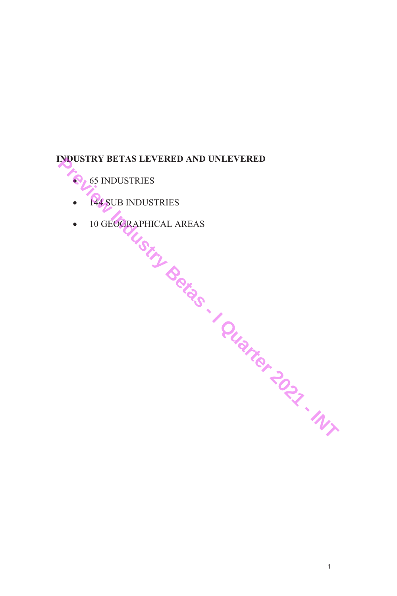# **INDUSTRY BETAS LEVERED AND UNLEVERED**

- O 65 INDUSTRIES
- 144 SUB INDUSTRIES
- INSTRUCTION OF REAL PROPERTY INT 10 GEOGRAPHICAL AREAS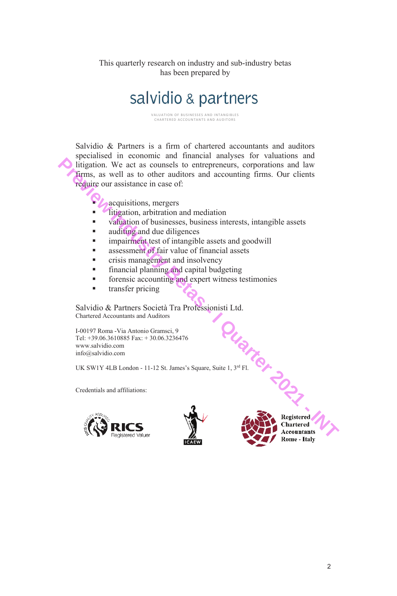This quarterly research on industry and sub-industry betas has been prepared by

# salvidio & partners

VALUATION OF BUSINESSES AND INTANGIBLES<br>CHARTERED ACCOUNTANTS AND AUDITORS

Salvidio & Partners is a firm of chartered accountants and auditors specialised in economic and financial analyses for valuations and litigation. We act as counsels to entrepreneurs, corporations and law firms, as well as to other auditors and accounting firms. Our clients require our assistance in case of:

- acquisitions, mergers
- litigation, arbitration and mediation
- valuation of businesses, business interests, intangible assets
- auditing and due diligences  $\blacksquare$
- impairment test of intangible assets and goodwill
- assessment of fair value of financial assets
- ×. crisis management and insolvency
- financial planning and capital budgeting ×.
- forensic accounting and expert witness testimonies ٠
- r. transfer pricing

Salvidio & Partners Società Tra Professionisti Ltd. Chartered Accountants and Auditors

I-00197 Roma - Via Antonio Gramsci, 9 Tel: +39.06.3610885 Fax: +30.06.3236476 www.salvidio.com info@salvidio.com

Quarte UK SW1Y 4LB London - 11-12 St. James's Square, Suite 1, 3rd Fl.

Credentials and affiliations:





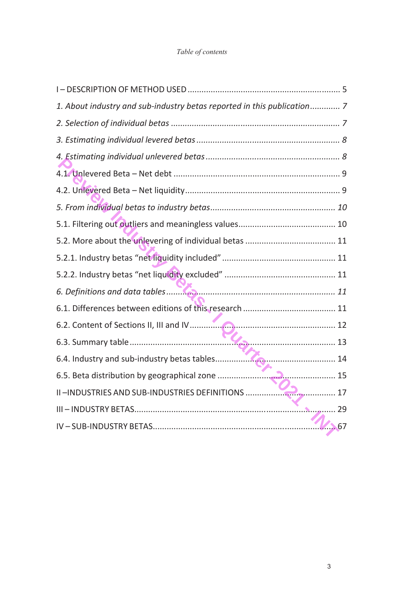## *Table of contents*

| 1. About industry and sub-industry betas reported in this publication 7 |  |
|-------------------------------------------------------------------------|--|
|                                                                         |  |
|                                                                         |  |
|                                                                         |  |
|                                                                         |  |
|                                                                         |  |
|                                                                         |  |
|                                                                         |  |
|                                                                         |  |
|                                                                         |  |
|                                                                         |  |
|                                                                         |  |
|                                                                         |  |
|                                                                         |  |
|                                                                         |  |
|                                                                         |  |
|                                                                         |  |
|                                                                         |  |
|                                                                         |  |
|                                                                         |  |
|                                                                         |  |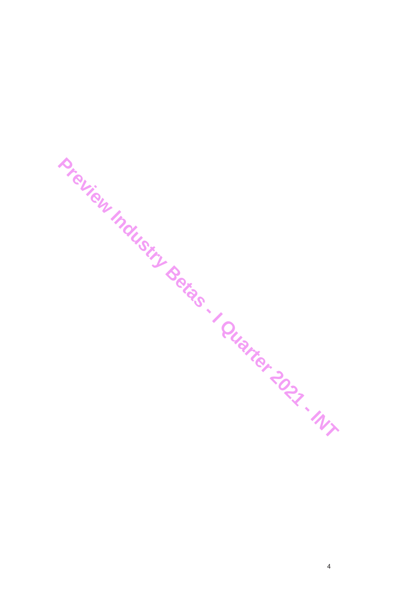Preview Industry Belies . I Quarter 2021 . INT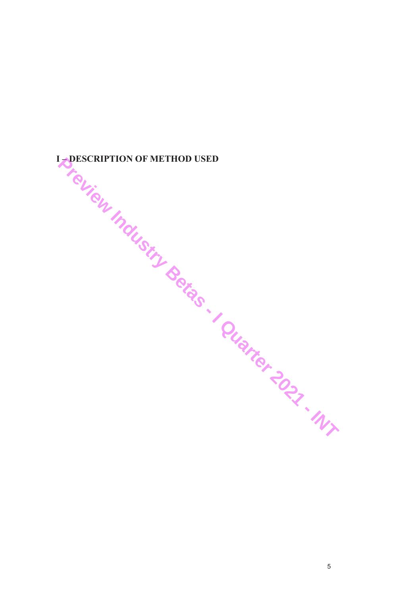Firewiew Industry Belage. I Quarter 2021. INT **I-DESCRIPTION OF METHOD USED**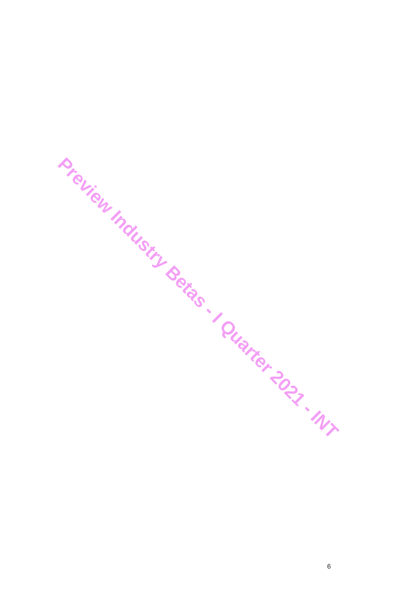Preview Industry Belies . I Quarter 2021 . INT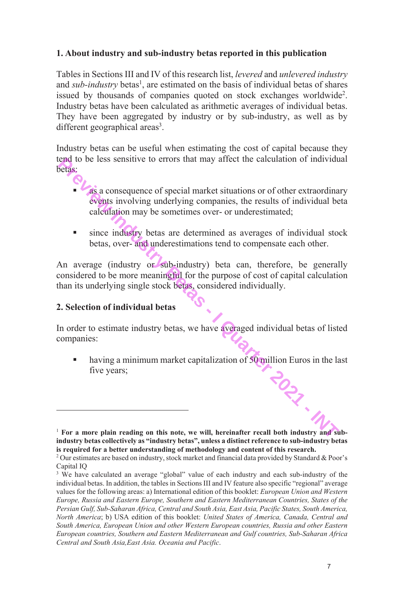# 1. About industry and sub-industry betas reported in this publication

Tables in Sections III and IV of this research list, *levered* and *unlevered industry* and *sub-industry* betas<sup>1</sup>, are estimated on the basis of individual betas of shares issued by thousands of companies quoted on stock exchanges worldwide<sup>2</sup>. Industry betas have been calculated as arithmetic averages of individual betas. They have been aggregated by industry or by sub-industry, as well as by different geographical areas<sup>3</sup>.

Industry betas can be useful when estimating the cost of capital because they tend to be less sensitive to errors that may affect the calculation of individual betas:

- as a consequence of special market situations or of other extraordinary events involving underlying companies, the results of individual beta calculation may be sometimes over- or underestimated;
- since industry betas are determined as averages of individual stock betas, over- and underestimations tend to compensate each other.

An average (industry or sub-industry) beta can, therefore, be generally considered to be more meaningful for the purpose of cost of capital calculation than its underlying single stock betas, considered individually.

# 2. Selection of individual betas

In order to estimate industry betas, we have averaged individual betas of listed companies:

having a minimum market capitalization of 50 million Euros in the last 2027. five years;

<sup>&</sup>lt;sup>1</sup> For a more plain reading on this note, we will, hereinafter recall both industry and subindustry betas collectively as "industry betas", unless a distinct reference to sub-industry betas is required for a better understanding of methodology and content of this research.

<sup>&</sup>lt;sup>2</sup> Our estimates are based on industry, stock market and financial data provided by Standard & Poor's Capital IO

<sup>&</sup>lt;sup>3</sup> We have calculated an average "global" value of each industry and each sub-industry of the individual betas. In addition, the tables in Sections III and IV feature also specific "regional" average values for the following areas: a) International edition of this booklet: European Union and Western Europe, Russia and Eastern Europe, Southern and Eastern Mediterranean Countries, States of the Persian Gulf, Sub-Saharan Africa, Central and South Asia, East Asia, Pacific States, South America, North America; b) USA edition of this booklet: United States of America, Canada, Central and South America, European Union and other Western European countries, Russia and other Eastern European countries, Southern and Eastern Mediterranean and Gulf countries, Sub-Saharan Africa Central and South Asia, East Asia. Oceania and Pacific.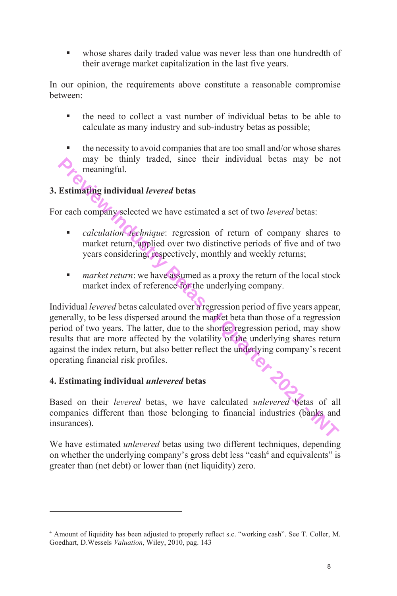**Whose shares daily traded value was never less than one hundredth of** their average market capitalization in the last five years.

In our opinion, the requirements above constitute a reasonable compromise between:

- $\blacksquare$  the need to collect a vast number of individual betas to be able to calculate as many industry and sub-industry betas as possible;
- $\blacksquare$  the necessity to avoid companies that are too small and/or whose shares may be thinly traded, since their individual betas may be not meaningful.

# **3. Estimating individual** *levered* **betas**

For each company selected we have estimated a set of two *levered* betas:

- *calculation technique*: regression of return of company shares to market return, applied over two distinctive periods of five and of two years considering, respectively, monthly and weekly returns;
- **F** *market return*: we have assumed as a proxy the return of the local stock market index of reference for the underlying company.

Individual *levered* betas calculated over a regression period of five years appear, generally, to be less dispersed around the market beta than those of a regression period of two years. The latter, due to the shorter regression period, may show results that are more affected by the volatility of the underlying shares return against the index return, but also better reflect the underlying company's recent operating financial risk profiles. **Presentantly**, the thing the three metric materials and the meaningful.<br> **Previously individual** *levered* betas<br> **Previously individual** *levered* **betas<br>
<b>Previously individual** *levered* betas<br> **Previously and** *Company s* 

# **4. Estimating individual** *unlevered* **betas**

Based on their *levered* betas, we have calculated *unlevered* betas of all companies different than those belonging to financial industries (banks and insurances).

We have estimated *unlevered* betas using two different techniques, depending on whether the underlying company's gross debt less "cash<sup>4</sup> and equivalents" is greater than (net debt) or lower than (net liquidity) zero.

<sup>&</sup>lt;sup>4</sup> Amount of liquidity has been adjusted to properly reflect s.c. "working cash". See T. Coller, M. Goedhart, D.Wessels Valuation, Wiley, 2010, pag. 143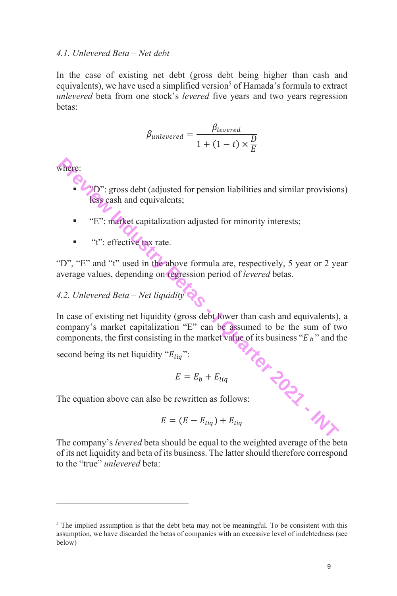#### *4.1. Unlevered Beta – Net debt*

In the case of existing net debt (gross debt being higher than cash and equivalents), we have used a simplified version<sup>5</sup> of Hamada's formula to extract *unlevered* beta from one stock's *levered* five years and two years regression betas:

$$
\beta_{unlevered} = \frac{\beta_{levered}}{1 + (1 - t) \times \frac{D}{E}}
$$

where:

- $\mathbf{D}$ ": gross debt (adjusted for pension liabilities and similar provisions) less cash and equivalents;
- "E": market capitalization adjusted for minority interests;
- $\blacksquare$  "t": effective tax rate.

"D", "E" and "t" used in the above formula are, respectively, 5 year or 2 year average values, depending on regression period of *levered* betas.

# *4.2. Unlevered Beta – Net liquidity*

In case of existing net liquidity (gross debt lower than cash and equivalents), a company's market capitalization "E" can be assumed to be the sum of two components, the first consisting in the market value of its business " $E<sub>b</sub>$ " and the

second being its net liquidity " $E_{liq}$ ":

$$
E = E_b + E_{liq}
$$

The equation above can also be rewritten as follows:

$$
E = (E - E_{liq}) + E_{liq}
$$

The company's levered beta should be equal to the weighted average of the beta of its net liquidity and beta of its business. The latter should therefore correspond to the "true" *unlevered* beta: **Previous** - INT

<sup>&</sup>lt;sup>5</sup> The implied assumption is that the debt beta may not be meaningful. To be consistent with this assumption, we have discarded the betas of companies with an excessive level of indebtedness (see below)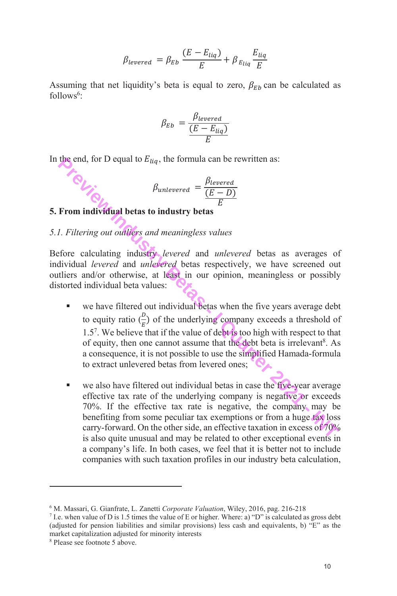$$
\beta_{levered} = \beta_{Eb} \frac{(E - E_{liq})}{E} + \beta_{E_{liq}} \frac{E_{liq}}{E}
$$

Assuming that net liquidity's beta is equal to zero,  $\beta_{Eb}$  can be calculated as  $follows<sup>6</sup>$ :

$$
\beta_{Eb} = \frac{\beta_{levered}}{\frac{(E - E_{liq})}{E}}
$$

In the end, for D equal to  $E_{liq}$ , the formula can be rewritten as:

$$
\beta_{unlevered} = \frac{\beta_{levered}}{\frac{(E - D)}{E}}
$$

# **5. From individual betas to industry betas**

#### *5.1. Filtering out outliers and meaningless values*

Before calculating industry *levered* and *unlevered* betas as averages of individual *levered* and *unlevered* betas respectively, we have screened out outliers and/or otherwise, at least in our opinion, meaningless or possibly distorted individual beta values:

- we have filtered out individual betas when the five years average debt to equity ratio  $\left(\frac{D}{E}\right)$  of the underlying company exceeds a threshold of 1.5<sup>7</sup>. We believe that if the value of debt is too high with respect to that of equity, then one cannot assume that the debt beta is irrelevant<sup>8</sup>. As a consequence, it is not possible to use the simplified Hamada-formula to extract unlevered betas from levered ones; **Propagation 11 Propagation Propagation Propagation Propagation Propagation Propagation Propagation Propagation Propagation Propagation Propagation Propagation Propagation Propagation Propaga** 
	- ve also have filtered out individual betas in case the five-year average effective tax rate of the underlying company is negative or exceeds 70%. If the effective tax rate is negative, the company may be benefiting from some peculiar tax exemptions or from a huge tax loss carry-forward. On the other side, an effective taxation in excess of  $70\%$ is also quite unusual and may be related to other exceptional events in a company's life. In both cases, we feel that it is better not to include companies with such taxation profiles in our industry beta calculation,

<sup>&</sup>lt;sup>6</sup> M. Massari, G. Gianfrate, L. Zanetti Corporate Valuation, Wiley, 2016, pag. 216-218

<sup>&</sup>lt;sup>7</sup> I.e. when value of D is 1.5 times the value of E or higher. Where: a) "D" is calculated as gross debt (adjusted for pension liabilities and similar provisions) less cash and equivalents, b) " $E$ " as the market capitalization adjusted for minority interests

<sup>&</sup>lt;sup>8</sup> Please see footnote 5 above.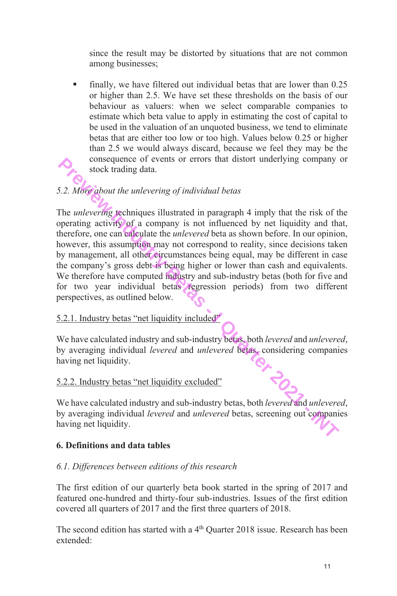since the result may be distorted by situations that are not common among businesses;

 $\blacksquare$  finally, we have filtered out individual betas that are lower than 0.25 or higher than 2.5. We have set these thresholds on the basis of our behaviour as valuers: when we select comparable companies to estimate which beta value to apply in estimating the cost of capital to be used in the valuation of an unquoted business, we tend to eliminate betas that are either too low or too high. Values below 0.25 or higher than 2.5 we would always discard, because we feel they may be the consequence of events or errors that distort underlying company or stock trading data.

# *5.2. More about the unlevering of individual betas*

The *unlevering* techniques illustrated in paragraph 4 imply that the risk of the operating activity of a company is not influenced by net liquidity and that, therefore, one can ealeulate the *unlevered* beta as shown before. In our opinion, however, this assumption may not correspond to reality, since decisions taken by management, all other circumstances being equal, may be different in case the company's gross debt is being higher or lower than cash and equivalents. We therefore have computed industry and sub-industry betas (both for five and for two year individual betas regression periods) from two different perspectives, as outlined below. consequence of events or errors that atstort underlying company<br>stock trading data.<br> **Preview the unlevering of individual betas**<br> **Preview interpreview of a company is not influenced by net liquidity and therefore, one ca** 

# 5.2.1. Industry betas "net liquidity included"

We have calculated industry and sub-industry betas, both *levered* and *unlevered*, by averaging individual *levered* and *unlevered* betas, considering companies having net liquidity.

# 5.2.2. Industry betas "net liquidity excluded"

We have calculated industry and sub-industry betas, both *levered* and *unlevered*, by averaging individual *levered* and *unlevered* betas, screening out companies having net liquidity.

# **6. Definitions and data tables**

# *6.1. Differences between editions of this research*

The first edition of our quarterly beta book started in the spring of 2017 and featured one-hundred and thirty-four sub-industries. Issues of the first edition covered all quarters of 2017 and the first three quarters of 2018.

The second edition has started with a 4<sup>th</sup> Quarter 2018 issue. Research has been extended: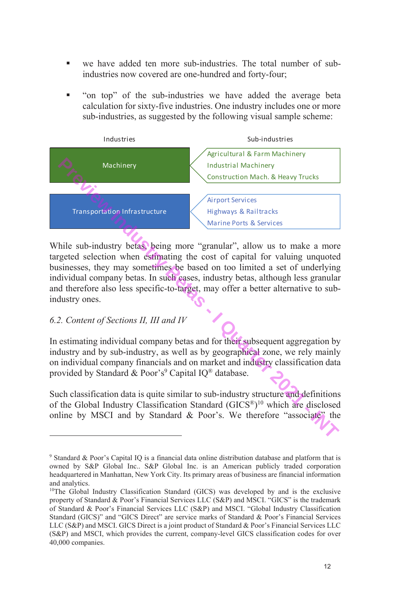- we have added ten more sub-industries. The total number of subindustries now covered are one-hundred and forty-four;
- "on top" of the sub-industries we have added the average beta calculation for sixty-five industries. One industry includes one or more sub-industries, as suggested by the following visual sample scheme:



While sub-industry betas, being more "granular", allow us to make a more targeted selection when estimating the cost of capital for valuing unquoted businesses, they may sometimes be based on too limited a set of underlying individual company betas. In such cases, industry betas, although less granular and therefore also less specific-to-target, may offer a better alternative to subindustry ones.

# *6.2. Content of Sections II, III and IV*

In estimating individual company betas and for their subsequent aggregation by industry and by sub-industry, as well as by geographical zone, we rely mainly on individual company financials and on market and industry classification data provided by Standard & Poor's<sup>9</sup> Capital IQ® database.

Such classification data is quite similar to sub-industry structure and definitions of the Global Industry Classification Standard (GICS®)<sup>10</sup> which are disclosed online by MSCI and by Standard & Poor's. We therefore "associate" the

 $9$  Standard & Poor's Capital IQ is a financial data online distribution database and platform that is owned by S&P Global Inc.. S&P Global Inc. is an American publicly traded corporation headquartered in Manhattan, New York City. Its primary areas of business are financial information and analytics.

<sup>&</sup>lt;sup>10</sup>The Global Industry Classification Standard (GICS) was developed by and is the exclusive property of Standard & Poor's Financial Services LLC  $(S\&P)$  and MSCI. "GICS" is the trademark of Standard & Poor's Financial Services LLC (S&P) and MSCI. "Global Industry Classification Standard (GICS)" and "GICS Direct" are service marks of Standard & Poor's Financial Services LLC (S&P) and MSCI. GICS Direct is a joint product of Standard & Poor's Financial Services LLC (S&P) and MSCI, which provides the current, company-level GICS classification codes for over 40,000 companies.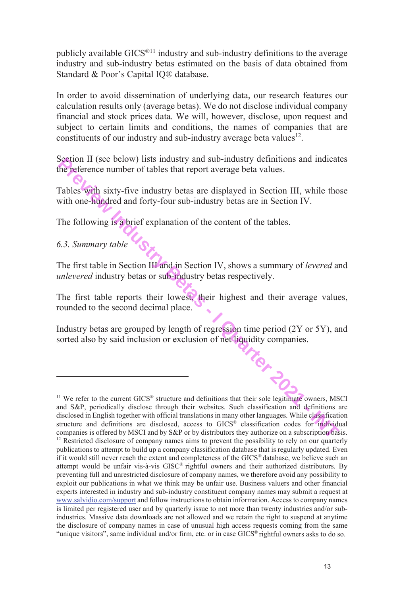publicly available  $GICS^{\otimes 11}$  industry and sub-industry definitions to the average industry and sub-industry betas estimated on the basis of data obtained from Standard & Poor's Capital IQ® database.

In order to avoid dissemination of underlying data, our research features our calculation results only (average betas). We do not disclose individual company financial and stock prices data. We will, however, disclose, upon request and subject to certain limits and conditions, the names of companies that are constituents of our industry and sub-industry average beta values<sup>12</sup>.

Section II (see below) lists industry and sub-industry definitions and indicates the reference number of tables that report average beta values.

Tables with sixty-five industry betas are displayed in Section III, while those with one-hundred and forty-four sub-industry betas are in Section IV.

The following is a brief explanation of the content of the tables.

6.3. Summary table

The first table in Section III and in Section IV, shows a summary of *levered* and unlevered industry betas or sub-industry betas respectively.

The first table reports their lowest, their highest and their average values, rounded to the second decimal place.

Industry betas are grouped by length of regression time period (2Y or 5Y), and sorted also by said inclusion or exclusion of net liquidity companies.

iter 20

<sup>&</sup>lt;sup>11</sup> We refer to the current GICS<sup>®</sup> structure and definitions that their sole legitimate owners, MSCI and S&P, periodically disclose through their websites. Such classification and definitions are disclosed in English together with official translations in many other languages. While classification structure and definitions are disclosed, access to GICS® classification codes for individual companies is offered by MSCI and by S&P or by distributors they authorize on a subscription basis.  $12$  Restricted disclosure of company names aims to prevent the possibility to rely on our quarterly publications to attempt to build up a company classification database that is regularly updated. Even if it would still never reach the extent and completeness of the GICS® database, we believe such an attempt would be unfair vis-à-vis GISC® rightful owners and their authorized distributors. By preventing full and unrestricted disclosure of company names, we therefore avoid any possibility to exploit our publications in what we think may be unfair use. Business valuers and other financial experts interested in industry and sub-industry constituent company names may submit a request at www.salvidio.com/support and follow instructions to obtain information. Access to company names is limited per registered user and by quarterly issue to not more than twenty industries and/or subindustries. Massive data downloads are not allowed and we retain the right to suspend at anytime the disclosure of company names in case of unusual high access requests coming from the same "unique visitors", same individual and/or firm, etc. or in case GICS® rightful owners asks to do so.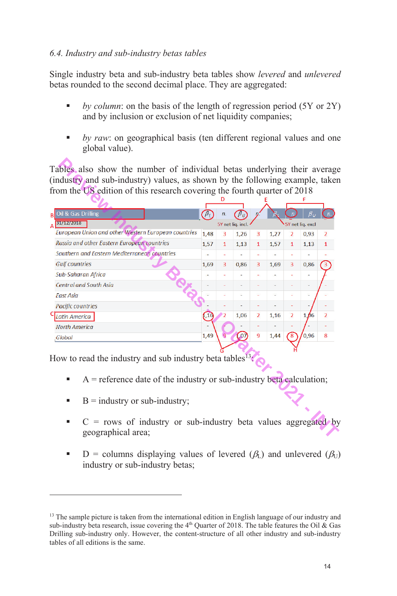# *6.4. Industry and sub-industry betas tables*

Single industry beta and sub-industry beta tables show *levered* and *unlevered* betas rounded to the second decimal place. They are aggregated:

- *by column*: on the basis of the length of regression period  $(5Y \text{ or } 2Y)$ and by inclusion or exclusion of net liquidity companies;
- **by raw:** on geographical basis (ten different regional values and one global value).

| Tables also show the number of individual betas underlying their average               |                                       |                |      |                |      |                |      |                          |  |
|----------------------------------------------------------------------------------------|---------------------------------------|----------------|------|----------------|------|----------------|------|--------------------------|--|
| (industry and sub-industry) values, as shown by the following example, taken           |                                       |                |      |                |      |                |      |                          |  |
| from the US edition of this research covering the fourth quarter of 2018               |                                       |                |      |                |      |                |      |                          |  |
|                                                                                        |                                       |                |      |                |      |                |      |                          |  |
| Dil & Gas Drilling                                                                     | $\beta_l$                             | n.             |      |                |      |                |      |                          |  |
| 31/12/2018                                                                             | 5Y net lig. excl<br>5Y net lig. incl. |                |      |                |      |                |      |                          |  |
| <b>European Union and other Western European countries</b>                             | 1,48                                  | 3              | 1,26 | 3              | 1.27 | $\overline{2}$ | 0,93 | 2                        |  |
| <b>Russia and other Eastern European countries</b>                                     | 1,57                                  | $\mathbf{1}$   | 1,13 | $\mathbf{1}$   | 1,57 | $\mathbf{1}$   | 1,13 | 1                        |  |
| Southern and Eastern Mediterranean countries                                           |                                       |                |      |                |      |                |      |                          |  |
| <b>Gulf countries</b>                                                                  | 1,69                                  | $\overline{3}$ | 0,86 | 3              | 1,69 | 3              | 0,86 |                          |  |
| <b>Sub-Saharan Africa</b>                                                              |                                       |                |      |                |      |                |      |                          |  |
| <b>Central and South Asia</b>                                                          |                                       |                |      |                |      |                |      |                          |  |
| <b>East Asia</b>                                                                       |                                       |                |      |                |      |                |      |                          |  |
| <b>Pacific countries</b>                                                               |                                       |                |      |                |      |                |      |                          |  |
| <b>Latin America</b>                                                                   | (16)                                  |                | 1,06 | $\overline{2}$ | 1,16 | $\overline{2}$ | 1,06 | $\overline{\phantom{a}}$ |  |
| <b>North America</b>                                                                   |                                       |                |      |                |      |                |      |                          |  |
| Global                                                                                 | 1,49                                  |                | (0)  | $\overline{9}$ | 1,44 |                | 0,96 | 8                        |  |
|                                                                                        |                                       |                |      |                |      |                |      |                          |  |
| How to read the industry and sub industry beta tables <sup>13</sup> .                  |                                       |                |      |                |      |                |      |                          |  |
|                                                                                        |                                       |                |      |                |      |                |      |                          |  |
| $A$ = reference date of the industry or sub-industry beta calculation;                 |                                       |                |      |                |      |                |      |                          |  |
|                                                                                        |                                       |                |      |                |      |                |      |                          |  |
| $B =$ industry or sub-industry;                                                        |                                       |                |      |                |      |                |      |                          |  |
| $C =$ rows of industry or sub-industry beta values aggregated by<br>geographical area; |                                       |                |      |                |      |                |      |                          |  |

- $\blacksquare$  A = reference date of the industry or sub-industry beta calculation;
- $\blacksquare$  B = industry or sub-industry;
- $\bullet$  C = rows of industry or sub-industry beta values aggregated by geographical area;
- $\blacksquare$  D = columns displaying values of levered  $(\beta_L)$  and unlevered  $(\beta_U)$ industry or sub-industry betas;

<sup>&</sup>lt;sup>13</sup> The sample picture is taken from the international edition in English language of our industry and sub-industry beta research, issue covering the 4<sup>th</sup> Quarter of 2018. The table features the Oil & Gas Drilling sub-industry only. However, the content-structure of all other industry and sub-industry tables of all editions is the same.